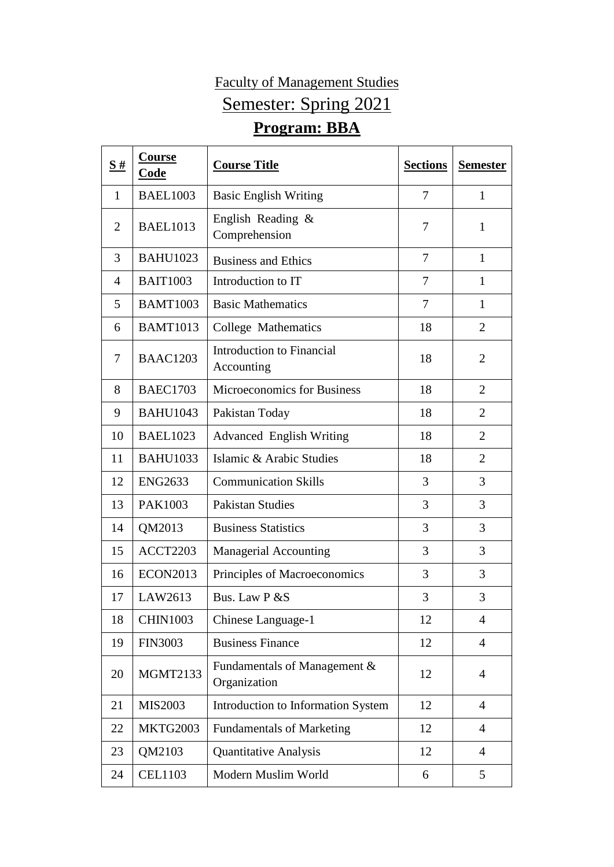## Faculty of Management Studies

## Semester: Spring 2021

## **Program: BBA**

| $\frac{S#}{4}$ | Course<br>Code  | <b>Course Title</b>                          | <b>Sections</b> | <b>Semester</b> |
|----------------|-----------------|----------------------------------------------|-----------------|-----------------|
| 1              | <b>BAEL1003</b> | <b>Basic English Writing</b>                 | 7               | 1               |
| $\overline{2}$ | <b>BAEL1013</b> | English Reading &<br>Comprehension           | 7               | $\mathbf{1}$    |
| 3              | <b>BAHU1023</b> | <b>Business and Ethics</b>                   | 7               | $\mathbf{1}$    |
| 4              | <b>BAIT1003</b> | Introduction to IT                           | 7               | 1               |
| 5              | <b>BAMT1003</b> | <b>Basic Mathematics</b>                     | 7               | 1               |
| 6              | <b>BAMT1013</b> | College Mathematics                          | 18              | $\overline{2}$  |
| 7              | <b>BAAC1203</b> | Introduction to Financial<br>Accounting      | 18              | $\overline{2}$  |
| 8              | <b>BAEC1703</b> | <b>Microeconomics for Business</b>           | 18              | $\overline{2}$  |
| 9              | <b>BAHU1043</b> | Pakistan Today                               | 18              | $\overline{2}$  |
| 10             | <b>BAEL1023</b> | <b>Advanced English Writing</b>              | 18              | $\overline{2}$  |
| 11             | <b>BAHU1033</b> | Islamic & Arabic Studies                     | 18              | $\overline{2}$  |
| 12             | <b>ENG2633</b>  | <b>Communication Skills</b>                  | 3               | 3               |
| 13             | PAK1003         | <b>Pakistan Studies</b>                      | 3               | 3               |
| 14             | QM2013          | <b>Business Statistics</b>                   | 3               | 3               |
| 15             | ACCT2203        | <b>Managerial Accounting</b>                 | 3               | 3               |
| 16             | <b>ECON2013</b> | Principles of Macroeconomics                 | 3               | 3               |
| 17             | LAW2613         | Bus. Law P & S                               | 3               | 3               |
| 18             | <b>CHIN1003</b> | Chinese Language-1                           | 12              | $\overline{4}$  |
| 19             | <b>FIN3003</b>  | <b>Business Finance</b>                      | 12              | $\overline{4}$  |
| 20             | <b>MGMT2133</b> | Fundamentals of Management &<br>Organization | 12              | $\overline{4}$  |
| 21             | <b>MIS2003</b>  | Introduction to Information System           | 12              | $\overline{4}$  |
| 22             | <b>MKTG2003</b> | <b>Fundamentals of Marketing</b>             | 12              | $\overline{4}$  |
| 23             | QM2103          | Quantitative Analysis                        | 12              | $\overline{4}$  |
| 24             | <b>CEL1103</b>  | Modern Muslim World                          | 6               | 5               |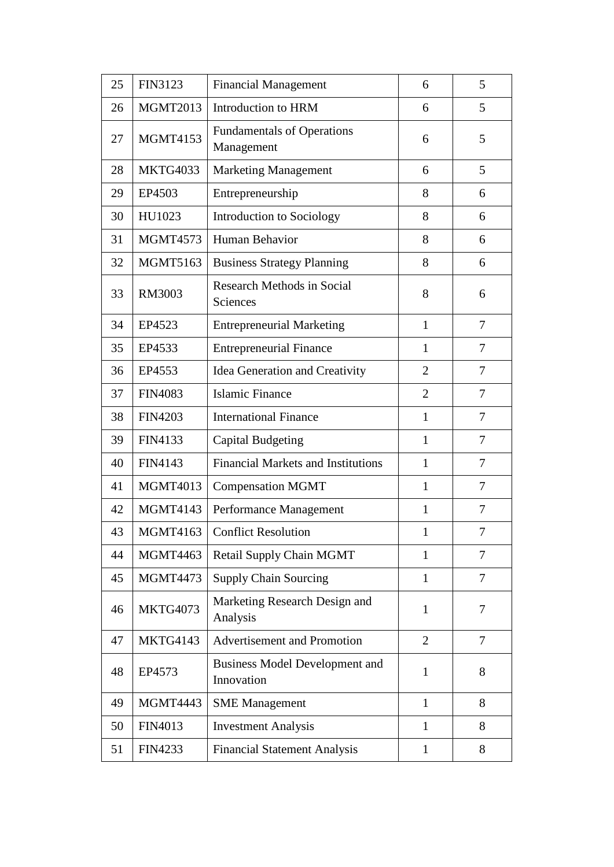| 25 | <b>FIN3123</b>  | <b>Financial Management</b>                     | 6              | 5                        |
|----|-----------------|-------------------------------------------------|----------------|--------------------------|
| 26 | <b>MGMT2013</b> | Introduction to HRM                             | 6              | 5                        |
| 27 | <b>MGMT4153</b> | <b>Fundamentals of Operations</b><br>Management | 6              | 5                        |
| 28 | <b>MKTG4033</b> | <b>Marketing Management</b>                     | 6              | 5                        |
| 29 | EP4503          | Entrepreneurship                                | 8              | 6                        |
| 30 | HU1023          | <b>Introduction to Sociology</b>                | 8              | 6                        |
| 31 | <b>MGMT4573</b> | Human Behavior                                  | 8              | 6                        |
| 32 | <b>MGMT5163</b> | <b>Business Strategy Planning</b>               | 8              | 6                        |
| 33 | RM3003          | <b>Research Methods in Social</b><br>Sciences   | 8              | 6                        |
| 34 | EP4523          | <b>Entrepreneurial Marketing</b>                | $\mathbf{1}$   | $\overline{7}$           |
| 35 | EP4533          | <b>Entrepreneurial Finance</b>                  | $\mathbf{1}$   | 7                        |
| 36 | EP4553          | <b>Idea Generation and Creativity</b>           | $\overline{2}$ | 7                        |
| 37 | <b>FIN4083</b>  | <b>Islamic Finance</b>                          | $\overline{2}$ | $\tau$                   |
| 38 | <b>FIN4203</b>  | <b>International Finance</b>                    | $\mathbf{1}$   | $\tau$                   |
| 39 | FIN4133         | Capital Budgeting                               | $\mathbf{1}$   | $\tau$                   |
| 40 | FIN4143         | <b>Financial Markets and Institutions</b>       | 1              | $\overline{\mathcal{L}}$ |
| 41 | <b>MGMT4013</b> | <b>Compensation MGMT</b>                        | $\mathbf{1}$   | $\overline{\mathcal{L}}$ |
| 42 | <b>MGMT4143</b> | Performance Management                          | $\mathbf{1}$   | 7                        |
| 43 | <b>MGMT4163</b> | <b>Conflict Resolution</b>                      |                | 7                        |
| 44 | <b>MGMT4463</b> | Retail Supply Chain MGMT                        | $\mathbf{1}$   | 7                        |
| 45 | <b>MGMT4473</b> | <b>Supply Chain Sourcing</b>                    | $\mathbf{1}$   | $\tau$                   |
| 46 | <b>MKTG4073</b> | Marketing Research Design and<br>Analysis       | $\mathbf{1}$   | 7                        |
| 47 | <b>MKTG4143</b> | Advertisement and Promotion                     | $\overline{2}$ | $\overline{7}$           |
| 48 | EP4573          | Business Model Development and<br>Innovation    | $\mathbf{1}$   | 8                        |
| 49 | <b>MGMT4443</b> | <b>SME</b> Management                           | $\mathbf{1}$   | 8                        |
| 50 | <b>FIN4013</b>  | <b>Investment Analysis</b>                      | $\mathbf{1}$   | 8                        |
| 51 | FIN4233         | <b>Financial Statement Analysis</b>             | $\mathbf{1}$   | 8                        |